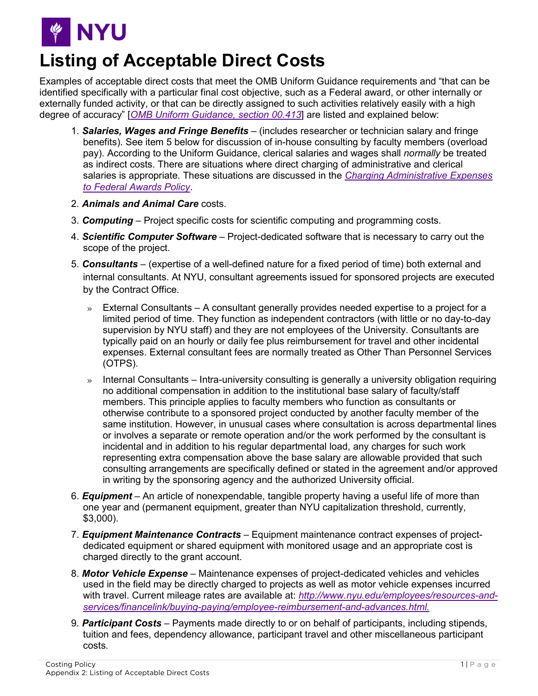

## **Listing of Acceptable Direct Costs**

Examples of acceptable direct costs that meet the OMB Uniform Guidance requirements and "that can be identified specifically with a particular final cost objective, such as a Federal award, or other internally or externally funded activity, or that can be directly assigned to such activities relatively easily with a high degree of accuracy" [*[OMB Uniform Guidance, section 00.413](https://www.ecfr.gov/cgi-bin/text-idx?SID=8c3f7c2636e23c71d72c1511dd336f5c&mc=true&node=se2.1.200_1413)*] are listed and explained below:

- 1. *Salaries, Wages and Fringe Benefits* (includes researcher or technician salary and fringe benefits). See item 5 below for discussion of in-house consulting by faculty members (overload pay). According to the Uniform Guidance, clerical salaries and wages shall *normally* be treated as indirect costs. There are situations where direct charging of administrative and clerical salaries is appropriate. These situations are discussed in the *[Charging Administrative Expenses](http://www.nyu.edu/about/policies-guidelines-compliance/policies-and-guidelines/charging-administrative-expenses-to-federal-awards-policy.html)  [to Federal Awards Policy](http://www.nyu.edu/about/policies-guidelines-compliance/policies-and-guidelines/charging-administrative-expenses-to-federal-awards-policy.html)*.
- 2. *Animals and Animal Care* costs.
- 3. *Computing* Project specific costs for scientific computing and programming costs.
- 4. *Scientific Computer Software* Project-dedicated software that is necessary to carry out the scope of the project.
- 5. *Consultants* (expertise of a well-defined nature for a fixed period of time) both external and internal consultants. At NYU, consultant agreements issued for sponsored projects are executed by the Contract Office.
	- $\rightarrow$  External Consultants A consultant generally provides needed expertise to a project for a limited period of time. They function as independent contractors (with little or no day-to-day supervision by NYU staff) and they are not employees of the University. Consultants are typically paid on an hourly or daily fee plus reimbursement for travel and other incidental expenses. External consultant fees are normally treated as Other Than Personnel Services (OTPS).
	- » Internal Consultants Intra-university consulting is generally a university obligation requiring no additional compensation in addition to the institutional base salary of faculty/staff members. This principle applies to faculty members who function as consultants or otherwise contribute to a sponsored project conducted by another faculty member of the same institution. However, in unusual cases where consultation is across departmental lines or involves a separate or remote operation and/or the work performed by the consultant is incidental and in addition to his regular departmental load, any charges for such work representing extra compensation above the base salary are allowable provided that such consulting arrangements are specifically defined or stated in the agreement and/or approved in writing by the sponsoring agency and the authorized University official.
- 6. *Equipment* An article of nonexpendable, tangible property having a useful life of more than one year and (permanent equipment, greater than NYU capitalization threshold, currently, \$3,000).
- 7. *Equipment Maintenance Contracts* Equipment maintenance contract expenses of projectdedicated equipment or shared equipment with monitored usage and an appropriate cost is charged directly to the grant account.
- 8. *Motor Vehicle Expense* Maintenance expenses of project-dedicated vehicles and vehicles used in the field may be directly charged to projects as well as motor vehicle expenses incurred with travel. Current mileage rates are available at: *[http://www.nyu.edu/employees/resources-and](http://www.nyu.edu/employees/resources-and-services/financelink/buying-paying/employee-reimbursement-and-advances.html)[services/financelink/buying-paying/employee-reimbursement-and-advances.html.](http://www.nyu.edu/employees/resources-and-services/financelink/buying-paying/employee-reimbursement-and-advances.html)*
- 9. *Participant Costs* Payments made directly to or on behalf of participants, including stipends, tuition and fees, dependency allowance, participant travel and other miscellaneous participant costs.